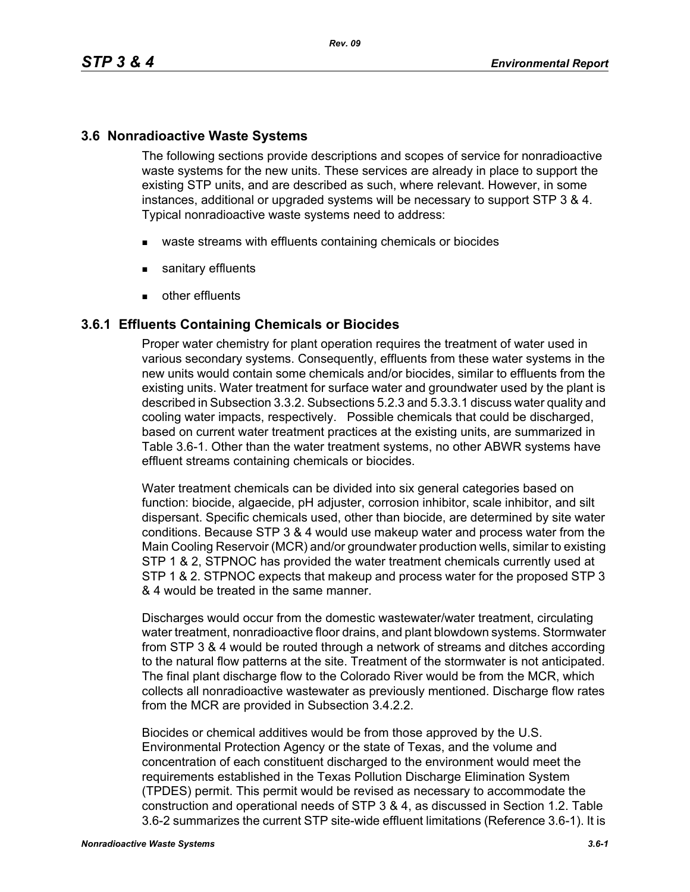## **3.6 Nonradioactive Waste Systems**

The following sections provide descriptions and scopes of service for nonradioactive waste systems for the new units. These services are already in place to support the existing STP units, and are described as such, where relevant. However, in some instances, additional or upgraded systems will be necessary to support STP 3 & 4. Typical nonradioactive waste systems need to address:

- waste streams with effluents containing chemicals or biocides
- sanitary effluents
- **other effluents**

### **3.6.1 Effluents Containing Chemicals or Biocides**

Proper water chemistry for plant operation requires the treatment of water used in various secondary systems. Consequently, effluents from these water systems in the new units would contain some chemicals and/or biocides, similar to effluents from the existing units. Water treatment for surface water and groundwater used by the plant is described in Subsection 3.3.2. Subsections 5.2.3 and 5.3.3.1 discuss water quality and cooling water impacts, respectively. Possible chemicals that could be discharged, based on current water treatment practices at the existing units, are summarized in Table 3.6-1. Other than the water treatment systems, no other ABWR systems have effluent streams containing chemicals or biocides.

Water treatment chemicals can be divided into six general categories based on function: biocide, algaecide, pH adjuster, corrosion inhibitor, scale inhibitor, and silt dispersant. Specific chemicals used, other than biocide, are determined by site water conditions. Because STP 3 & 4 would use makeup water and process water from the Main Cooling Reservoir (MCR) and/or groundwater production wells, similar to existing STP 1 & 2, STPNOC has provided the water treatment chemicals currently used at STP 1 & 2. STPNOC expects that makeup and process water for the proposed STP 3 & 4 would be treated in the same manner.

Discharges would occur from the domestic wastewater/water treatment, circulating water treatment, nonradioactive floor drains, and plant blowdown systems. Stormwater from STP 3 & 4 would be routed through a network of streams and ditches according to the natural flow patterns at the site. Treatment of the stormwater is not anticipated. The final plant discharge flow to the Colorado River would be from the MCR, which collects all nonradioactive wastewater as previously mentioned. Discharge flow rates from the MCR are provided in Subsection 3.4.2.2.

Biocides or chemical additives would be from those approved by the U.S. Environmental Protection Agency or the state of Texas, and the volume and concentration of each constituent discharged to the environment would meet the requirements established in the Texas Pollution Discharge Elimination System (TPDES) permit. This permit would be revised as necessary to accommodate the construction and operational needs of STP 3 & 4, as discussed in Section 1.2. Table 3.6-2 summarizes the current STP site-wide effluent limitations (Reference 3.6-1). It is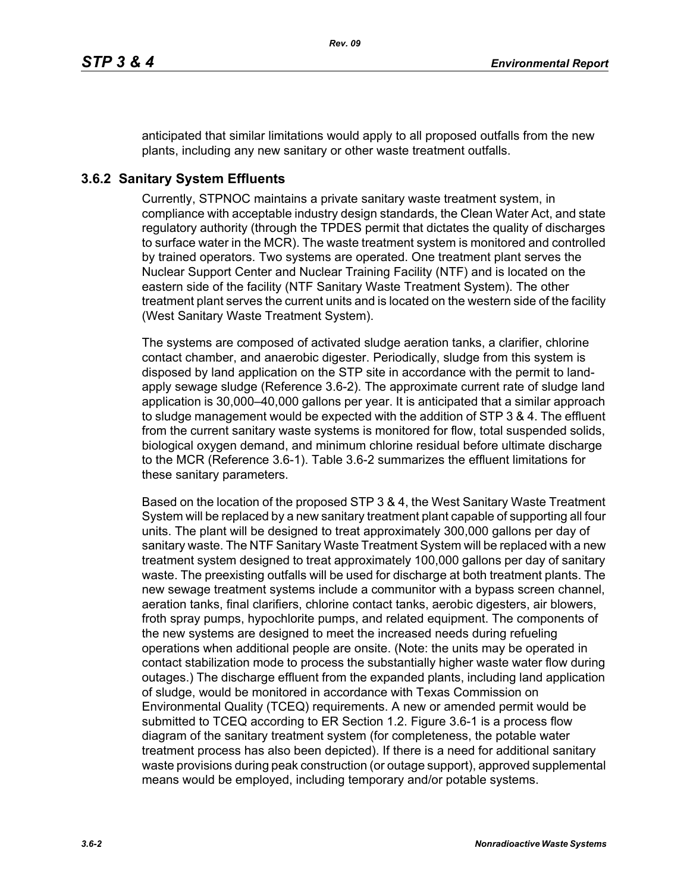anticipated that similar limitations would apply to all proposed outfalls from the new plants, including any new sanitary or other waste treatment outfalls.

# **3.6.2 Sanitary System Effluents**

Currently, STPNOC maintains a private sanitary waste treatment system, in compliance with acceptable industry design standards, the Clean Water Act, and state regulatory authority (through the TPDES permit that dictates the quality of discharges to surface water in the MCR). The waste treatment system is monitored and controlled by trained operators. Two systems are operated. One treatment plant serves the Nuclear Support Center and Nuclear Training Facility (NTF) and is located on the eastern side of the facility (NTF Sanitary Waste Treatment System). The other treatment plant serves the current units and is located on the western side of the facility (West Sanitary Waste Treatment System).

The systems are composed of activated sludge aeration tanks, a clarifier, chlorine contact chamber, and anaerobic digester. Periodically, sludge from this system is disposed by land application on the STP site in accordance with the permit to landapply sewage sludge (Reference 3.6-2). The approximate current rate of sludge land application is 30,000–40,000 gallons per year. It is anticipated that a similar approach to sludge management would be expected with the addition of STP 3 & 4. The effluent from the current sanitary waste systems is monitored for flow, total suspended solids, biological oxygen demand, and minimum chlorine residual before ultimate discharge to the MCR (Reference 3.6-1). Table 3.6-2 summarizes the effluent limitations for these sanitary parameters.

Based on the location of the proposed STP 3 & 4, the West Sanitary Waste Treatment System will be replaced by a new sanitary treatment plant capable of supporting all four units. The plant will be designed to treat approximately 300,000 gallons per day of sanitary waste. The NTF Sanitary Waste Treatment System will be replaced with a new treatment system designed to treat approximately 100,000 gallons per day of sanitary waste. The preexisting outfalls will be used for discharge at both treatment plants. The new sewage treatment systems include a communitor with a bypass screen channel, aeration tanks, final clarifiers, chlorine contact tanks, aerobic digesters, air blowers, froth spray pumps, hypochlorite pumps, and related equipment. The components of the new systems are designed to meet the increased needs during refueling operations when additional people are onsite. (Note: the units may be operated in contact stabilization mode to process the substantially higher waste water flow during outages.) The discharge effluent from the expanded plants, including land application of sludge, would be monitored in accordance with Texas Commission on Environmental Quality (TCEQ) requirements. A new or amended permit would be submitted to TCEQ according to ER Section 1.2. Figure 3.6-1 is a process flow diagram of the sanitary treatment system (for completeness, the potable water treatment process has also been depicted). If there is a need for additional sanitary waste provisions during peak construction (or outage support), approved supplemental means would be employed, including temporary and/or potable systems.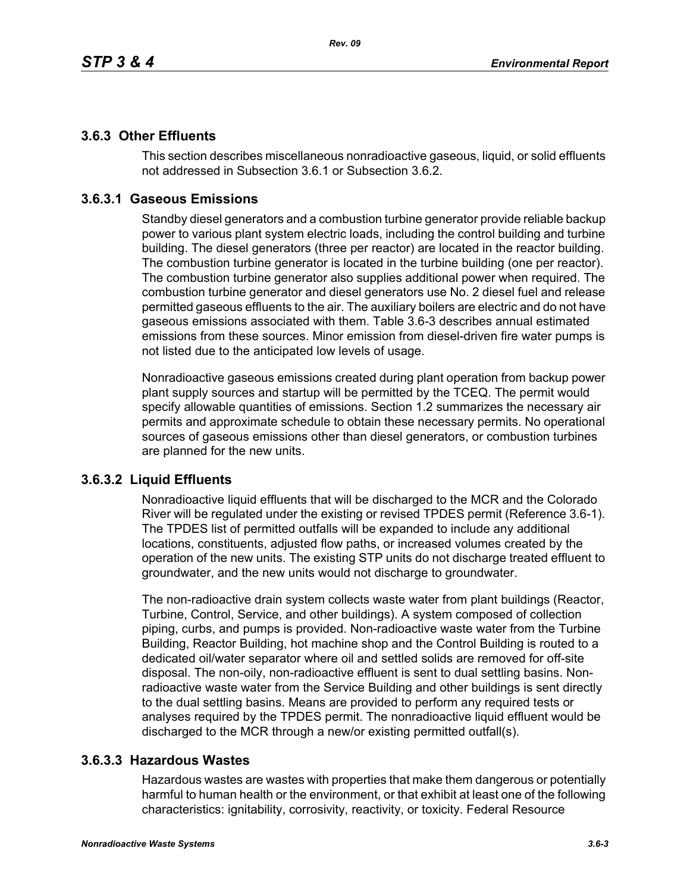## **3.6.3 Other Effluents**

This section describes miscellaneous nonradioactive gaseous, liquid, or solid effluents not addressed in Subsection 3.6.1 or Subsection 3.6.2.

## **3.6.3.1 Gaseous Emissions**

Standby diesel generators and a combustion turbine generator provide reliable backup power to various plant system electric loads, including the control building and turbine building. The diesel generators (three per reactor) are located in the reactor building. The combustion turbine generator is located in the turbine building (one per reactor). The combustion turbine generator also supplies additional power when required. The combustion turbine generator and diesel generators use No. 2 diesel fuel and release permitted gaseous effluents to the air. The auxiliary boilers are electric and do not have gaseous emissions associated with them. Table 3.6-3 describes annual estimated emissions from these sources. Minor emission from diesel-driven fire water pumps is not listed due to the anticipated low levels of usage.

Nonradioactive gaseous emissions created during plant operation from backup power plant supply sources and startup will be permitted by the TCEQ. The permit would specify allowable quantities of emissions. Section 1.2 summarizes the necessary air permits and approximate schedule to obtain these necessary permits. No operational sources of gaseous emissions other than diesel generators, or combustion turbines are planned for the new units.

## **3.6.3.2 Liquid Effluents**

Nonradioactive liquid effluents that will be discharged to the MCR and the Colorado River will be regulated under the existing or revised TPDES permit (Reference 3.6-1). The TPDES list of permitted outfalls will be expanded to include any additional locations, constituents, adjusted flow paths, or increased volumes created by the operation of the new units. The existing STP units do not discharge treated effluent to groundwater, and the new units would not discharge to groundwater.

The non-radioactive drain system collects waste water from plant buildings (Reactor, Turbine, Control, Service, and other buildings). A system composed of collection piping, curbs, and pumps is provided. Non-radioactive waste water from the Turbine Building, Reactor Building, hot machine shop and the Control Building is routed to a dedicated oil/water separator where oil and settled solids are removed for off-site disposal. The non-oily, non-radioactive effluent is sent to dual settling basins. Nonradioactive waste water from the Service Building and other buildings is sent directly to the dual settling basins. Means are provided to perform any required tests or analyses required by the TPDES permit. The nonradioactive liquid effluent would be discharged to the MCR through a new/or existing permitted outfall(s).

## **3.6.3.3 Hazardous Wastes**

Hazardous wastes are wastes with properties that make them dangerous or potentially harmful to human health or the environment, or that exhibit at least one of the following characteristics: ignitability, corrosivity, reactivity, or toxicity. Federal Resource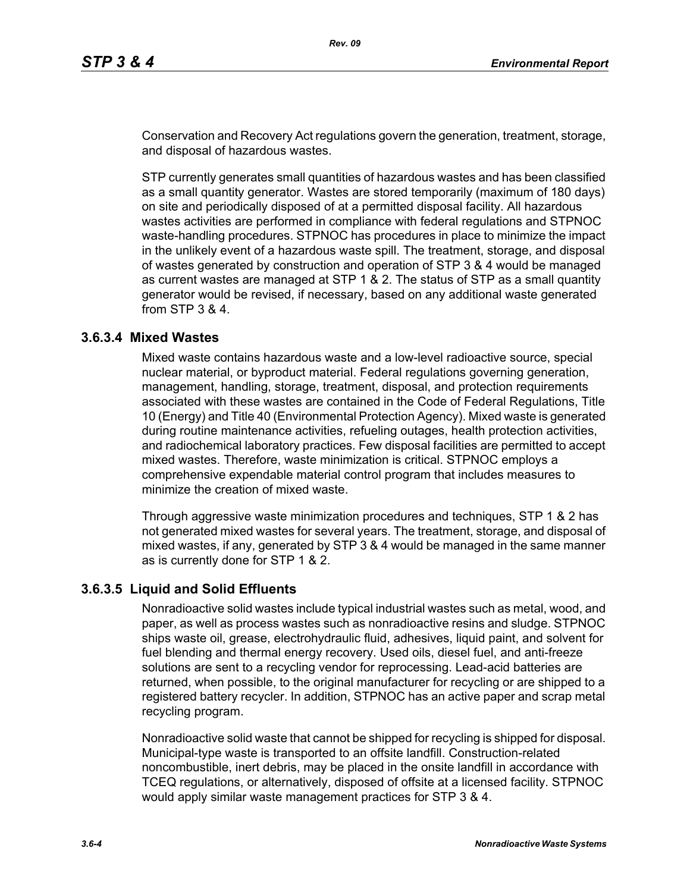Conservation and Recovery Act regulations govern the generation, treatment, storage, and disposal of hazardous wastes.

STP currently generates small quantities of hazardous wastes and has been classified as a small quantity generator. Wastes are stored temporarily (maximum of 180 days) on site and periodically disposed of at a permitted disposal facility. All hazardous wastes activities are performed in compliance with federal regulations and STPNOC waste-handling procedures. STPNOC has procedures in place to minimize the impact in the unlikely event of a hazardous waste spill. The treatment, storage, and disposal of wastes generated by construction and operation of STP 3 & 4 would be managed as current wastes are managed at STP 1 & 2. The status of STP as a small quantity generator would be revised, if necessary, based on any additional waste generated from STP 3 & 4.

### **3.6.3.4 Mixed Wastes**

Mixed waste contains hazardous waste and a low-level radioactive source, special nuclear material, or byproduct material. Federal regulations governing generation, management, handling, storage, treatment, disposal, and protection requirements associated with these wastes are contained in the Code of Federal Regulations, Title 10 (Energy) and Title 40 (Environmental Protection Agency). Mixed waste is generated during routine maintenance activities, refueling outages, health protection activities, and radiochemical laboratory practices. Few disposal facilities are permitted to accept mixed wastes. Therefore, waste minimization is critical. STPNOC employs a comprehensive expendable material control program that includes measures to minimize the creation of mixed waste.

Through aggressive waste minimization procedures and techniques, STP 1 & 2 has not generated mixed wastes for several years. The treatment, storage, and disposal of mixed wastes, if any, generated by STP 3 & 4 would be managed in the same manner as is currently done for STP 1 & 2.

### **3.6.3.5 Liquid and Solid Effluents**

Nonradioactive solid wastes include typical industrial wastes such as metal, wood, and paper, as well as process wastes such as nonradioactive resins and sludge. STPNOC ships waste oil, grease, electrohydraulic fluid, adhesives, liquid paint, and solvent for fuel blending and thermal energy recovery. Used oils, diesel fuel, and anti-freeze solutions are sent to a recycling vendor for reprocessing. Lead-acid batteries are returned, when possible, to the original manufacturer for recycling or are shipped to a registered battery recycler. In addition, STPNOC has an active paper and scrap metal recycling program.

Nonradioactive solid waste that cannot be shipped for recycling is shipped for disposal. Municipal-type waste is transported to an offsite landfill. Construction-related noncombustible, inert debris, may be placed in the onsite landfill in accordance with TCEQ regulations, or alternatively, disposed of offsite at a licensed facility. STPNOC would apply similar waste management practices for STP 3 & 4.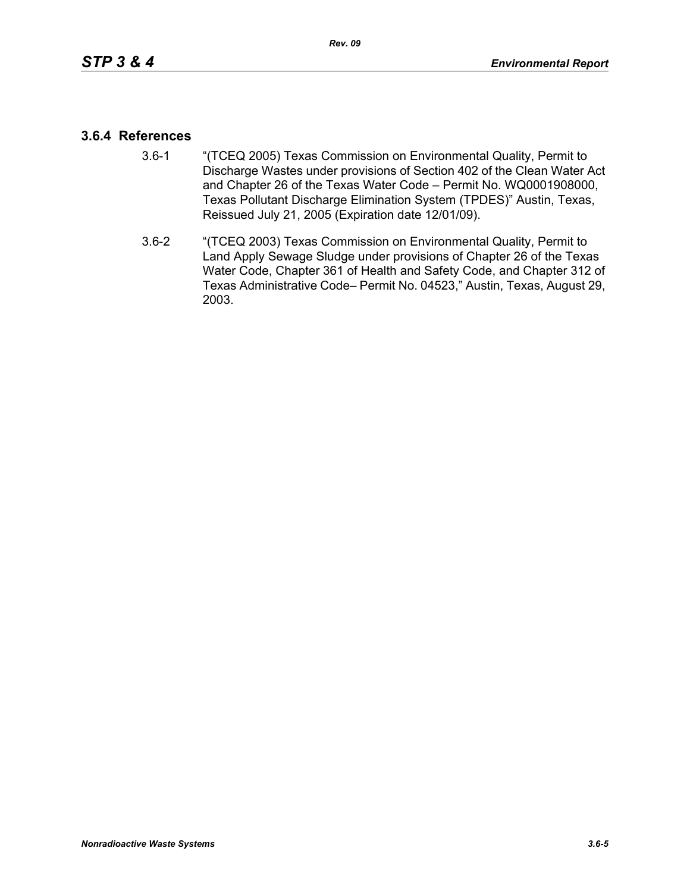### **3.6.4 References**

- 3.6-1 "(TCEQ 2005) Texas Commission on Environmental Quality, Permit to Discharge Wastes under provisions of Section 402 of the Clean Water Act and Chapter 26 of the Texas Water Code – Permit No. WQ0001908000, Texas Pollutant Discharge Elimination System (TPDES)" Austin, Texas, Reissued July 21, 2005 (Expiration date 12/01/09).
- 3.6-2 "(TCEQ 2003) Texas Commission on Environmental Quality, Permit to Land Apply Sewage Sludge under provisions of Chapter 26 of the Texas Water Code, Chapter 361 of Health and Safety Code, and Chapter 312 of Texas Administrative Code– Permit No. 04523," Austin, Texas, August 29, 2003.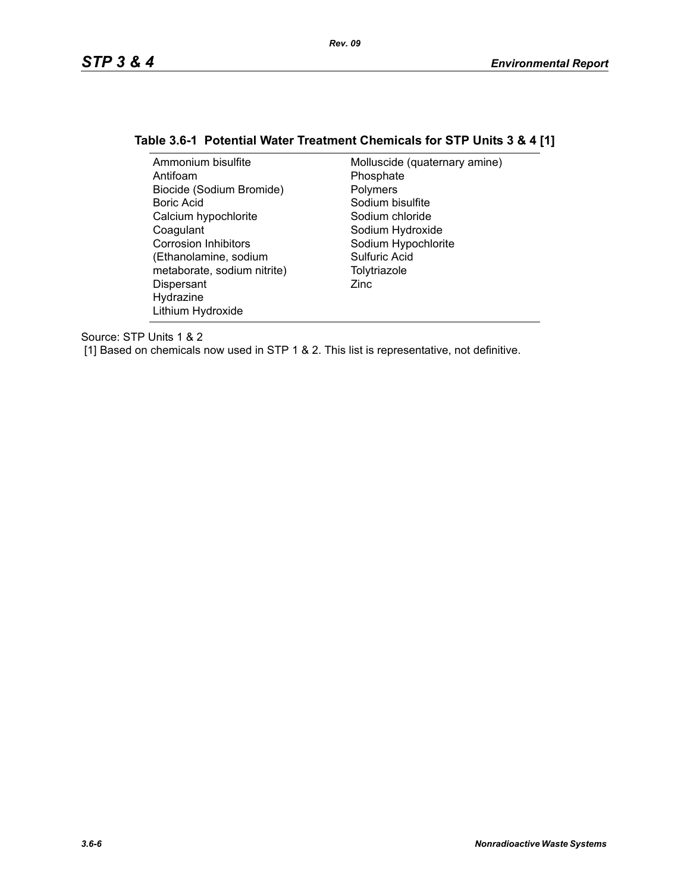## **Table 3.6-1 Potential Water Treatment Chemicals for STP Units 3 & 4 [1]**

| Ammonium bisulfite          | Molluscide (quaternary amine) |
|-----------------------------|-------------------------------|
| Antifoam                    | Phosphate                     |
| Biocide (Sodium Bromide)    | Polymers                      |
| Boric Acid                  | Sodium bisulfite              |
| Calcium hypochlorite        | Sodium chloride               |
| Coagulant                   | Sodium Hydroxide              |
| <b>Corrosion Inhibitors</b> | Sodium Hypochlorite           |
| (Ethanolamine, sodium       | Sulfuric Acid                 |
| metaborate, sodium nitrite) | Tolytriazole                  |
| Dispersant                  | Zinc                          |
| Hydrazine                   |                               |
| Lithium Hydroxide           |                               |

Source: STP Units 1 & 2

[1] Based on chemicals now used in STP 1 & 2. This list is representative, not definitive.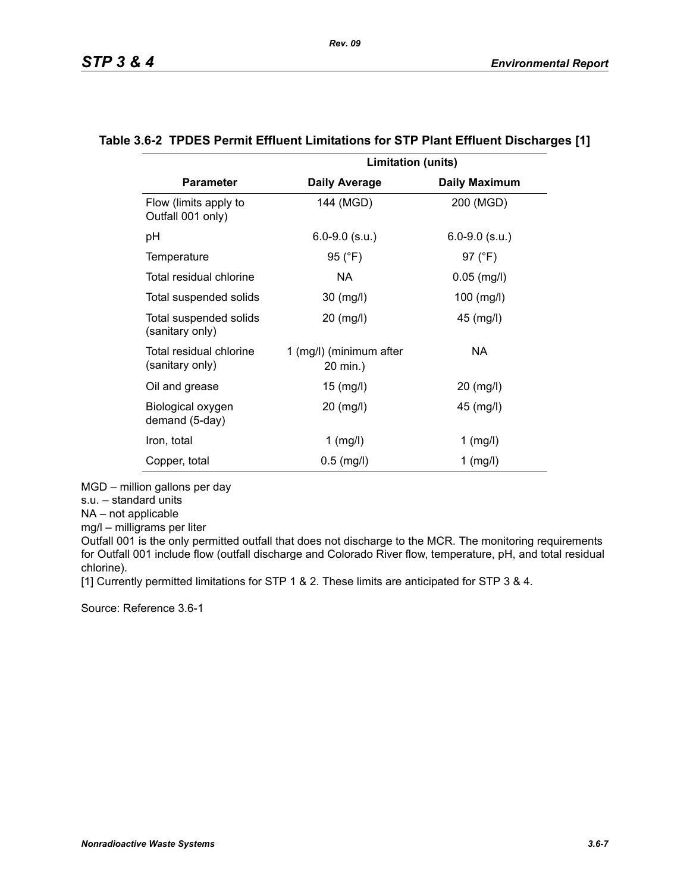|                                            | <b>Limitation (units)</b>           |                      |
|--------------------------------------------|-------------------------------------|----------------------|
| <b>Parameter</b>                           | <b>Daily Average</b>                | <b>Daily Maximum</b> |
| Flow (limits apply to<br>Outfall 001 only) | 144 (MGD)                           | 200 (MGD)            |
| рH                                         | $6.0 - 9.0$ (s.u.)                  | $6.0 - 9.0$ (s.u.)   |
| Temperature                                | 95 (°F)                             | 97 (°F)              |
| Total residual chlorine                    | NA.                                 | $0.05$ (mg/l)        |
| Total suspended solids                     | 30 (mg/l)                           | $100$ (mg/l)         |
| Total suspended solids<br>(sanitary only)  | 20 (mg/l)                           | 45 (mg/l)            |
| Total residual chlorine<br>(sanitary only) | 1 (mg/l) (minimum after<br>20 min.) | NA                   |
| Oil and grease                             | 15 (mg/l)                           | 20 (mg/l)            |
| Biological oxygen<br>demand (5-day)        | 20 (mg/l)                           | 45 (mg/l)            |
| Iron, total                                | $1$ (mg/l)                          | $1$ (mg/l)           |
| Copper, total                              | $0.5$ (mg/l)                        | $1$ (mg/l)           |

#### **Table 3.6-2 TPDES Permit Effluent Limitations for STP Plant Effluent Discharges [1]**

MGD – million gallons per day

s.u. – standard units

NA – not applicable

mg/l – milligrams per liter

Outfall 001 is the only permitted outfall that does not discharge to the MCR. The monitoring requirements for Outfall 001 include flow (outfall discharge and Colorado River flow, temperature, pH, and total residual chlorine).

[1] Currently permitted limitations for STP 1 & 2. These limits are anticipated for STP 3 & 4.

Source: Reference 3.6-1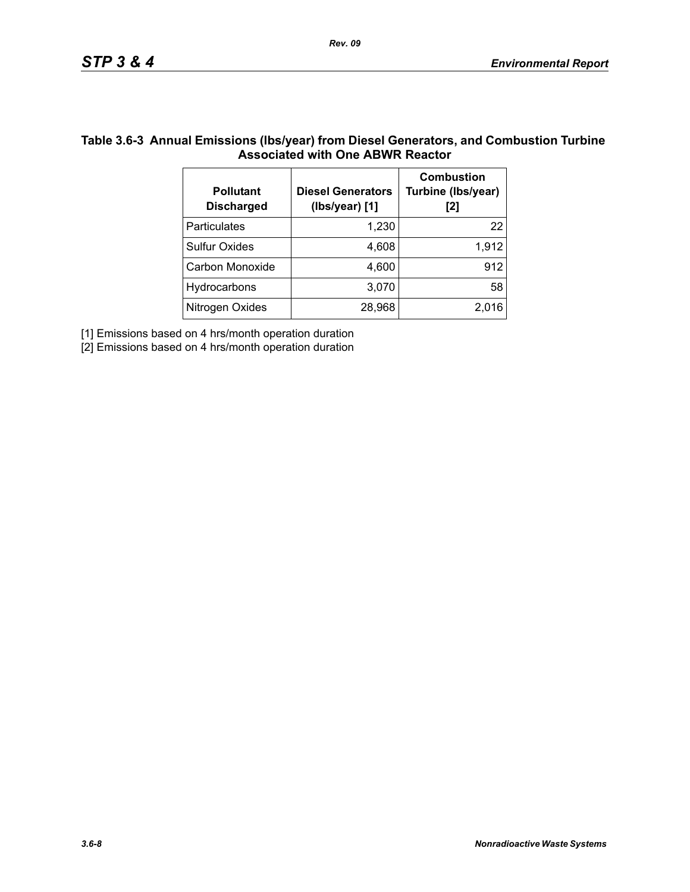## **Table 3.6-3 Annual Emissions (lbs/year) from Diesel Generators, and Combustion Turbine Associated with One ABWR Reactor**

| <b>Pollutant</b><br><b>Discharged</b> | <b>Diesel Generators</b><br>(Ibs/year) [1] | <b>Combustion</b><br>Turbine (Ibs/year)<br>[2] |
|---------------------------------------|--------------------------------------------|------------------------------------------------|
| Particulates                          | 1,230                                      | 22                                             |
| <b>Sulfur Oxides</b>                  | 4,608                                      | 1,912                                          |
| Carbon Monoxide                       | 4,600                                      | 912                                            |
| Hydrocarbons                          | 3,070                                      | 58                                             |
| Nitrogen Oxides                       | 28,968                                     | 2,016                                          |

[1] Emissions based on 4 hrs/month operation duration

[2] Emissions based on 4 hrs/month operation duration